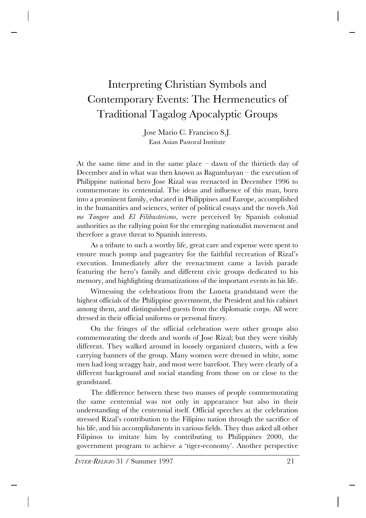# Interpreting Christian Symbols and Contemporary Events: The Hermeneutics of Traditional Tagalog Apocalyptic Groups

Jose Mario C. Francisco S.J. East Asian Pastoral Institute

At the same time and in the same place – dawn of the thirtieth day of December and in what was then known as Bagumbayan – the execution of Philippine national hero Jose Rizal was reenacted in December 1996 to commemorate its centennial. The ideas and influence of this man, born into a prominent family, educated in Philippines and Europe, accomplished in the humanities and sciences, writer of political essays and the novels *Noli me Tangere* and *El Filibusterismo*, were perceived by Spanish colonial authorities as the rallying point for the emerging nationalist movement and therefore a grave threat to Spanish interests.

As a tribute to such a worthy life, great care and expense were spent to ensure much pomp and pageantry for the faithful recreation of Rizal's execution. Immediately after the reenactment came a lavish parade featuring the hero's family and different civic groups dedicated to his memory, and highlighting dramatizations of the important events in his life.

Witnessing the celebrations from the Luneta grandstand were the highest officials of the Philippine government, the President and his cabinet among them, and distinguished guests from the diplomatic corps. All were dressed in their official uniforms or personal finery.

On the fringes of the official celebration were other groups also commemorating the deeds and words of Jose Rizal; but they were visibly different. They walked around in loosely organized clusters, with a few carrying banners of the group. Many women were dressed in white, some men had long scraggy hair, and most were barefoot. They were clearly of a different background and social standing from those on or close to the grandstand.

The difference between these two masses of people commemorating the same centennial was not only in appearance but also in their understanding of the centennial itself. Official speeches at the celebration stressed Rizal's contribution to the Filipino nation through the sacrifice of his life, and his accomplishments in various fields. They thus asked all other Filipinos to imitate him by contributing to Philippines 2000, the government program to achieve a 'tiger-economy'. Another perspective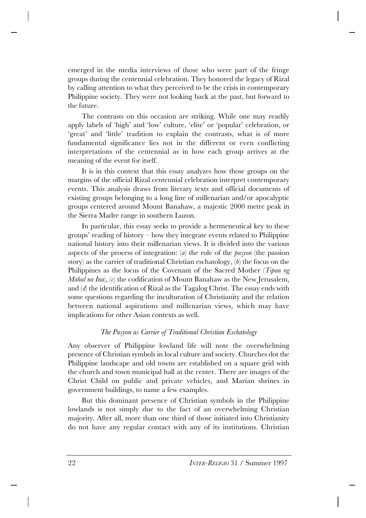emerged in the media interviews of those who were part of the fringe groups during the centennial celebration. They honored the legacy of Rizal by calling attention to what they perceived to be the crisis in contemporary Philippine society. They were not looking back at the past, but forward to the future.

The contrasts on this occasion are striking. While one may readily apply labels of 'high' and 'low' culture, 'elite' or 'popular' celebration, or 'great' and 'little' tradition to explain the contrasts, what is of more fundamental significance lies not in the different or even conflicting interpretations of the centennial as in how each group arrives at the meaning of the event for itself.

It is in this context that this essay analyzes how those groups on the margins of the official Rizal centennial celebration interpret contemporary events. This analysis draws from literary texts and official documents of existing groups belonging to a long line of millenarian and/or apocalyptic groups centered around Mount Banahaw, a majestic 2000 metre peak in the Sierra Madre range in southern Luzon.

In particular, this essay seeks to provide a hermeneutical key to these groups' reading of history – how they integrate events related to Philippine national history into their millenarian views. It is divided into the various aspects of the process of integration: (*a*) the role of the *pasyon* (the passion story) as the carrier of traditional Christian eschatology, (*b*) the focus on the Philippines as the locus of the Covenant of the Sacred Mother (*Tipan ng Mahal na Ina*), (*c*) the codification of Mount Banahaw as the New Jerusalem, and (*d*) the identification of Rizal as the Tagalog Christ. The essay ends with some questions regarding the inculturation of Christianity and the relation between national aspirations and millenarian views, which may have implications for other Asian contexts as well.

# *The Pasyon as Carrier of Traditional Christian Eschatology*

Any observer of Philippine lowland life will note the overwhelming presence of Christian symbols in local culture and society. Churches dot the Philippine landscape and old towns are established on a square grid with the church and town municipal hall at the center. There are images of the Christ Child on public and private vehicles, and Marian shrines in government buildings, to name a few examples.

But this dominant presence of Christian symbols in the Philippine lowlands is not simply due to the fact of an overwhelming Christian majority. After all, more than one third of those initiated into Christianity do not have any regular contact with any of its institutions. Christian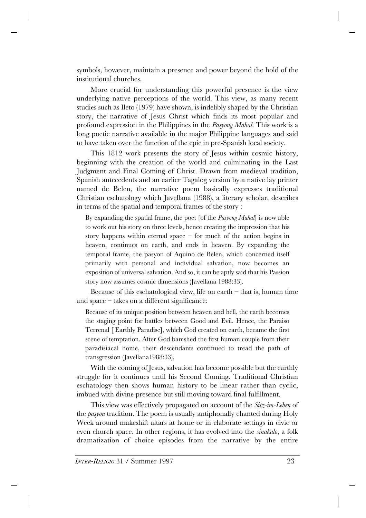symbols, however, maintain a presence and power beyond the hold of the institutional churches.

More crucial for understanding this powerful presence is the view underlying native perceptions of the world. This view, as many recent studies such as Ileto (1979) have shown, is indelibly shaped by the Christian story, the narrative of Jesus Christ which finds its most popular and profound expression in the Philippines in the *Pasyong Mahal*. This work is a long poetic narrative available in the major Philippine languages and said to have taken over the function of the epic in pre-Spanish local society.

This 1812 work presents the story of Jesus within cosmic history, beginning with the creation of the world and culminating in the Last Judgment and Final Coming of Christ. Drawn from medieval tradition, Spanish antecedents and an earlier Tagalog version by a native lay printer named de Belen, the narrative poem basically expresses traditional Christian eschatology which Javellana (1988), a literary scholar, describes in terms of the spatial and temporal frames of the story :

By expanding the spatial frame, the poet [of the *Pasyong Mahal*] is now able to work out his story on three levels, hence creating the impression that his story happens within eternal space  $-$  for much of the action begins in heaven, continues on earth, and ends in heaven. By expanding the temporal frame, the pasyon of Aquino de Belen, which concerned itself primarily with personal and individual salvation, now becomes an exposition of universal salvation. And so, it can be aptly said that his Passion story now assumes cosmic dimensions (Javellana 1988:33).

Because of this eschatological view, life on earth  $-$  that is, human time and space – takes on a different significance:

Because of its unique position between heaven and hell, the earth becomes the staging point for battles between Good and Evil. Hence, the Paraiso Terrenal [ Earthly Paradise], which God created on earth, became the first scene of temptation. After God banished the first human couple from their paradisiacal home, their descendants continued to tread the path of transgression (Javellana1988:33).

With the coming of Jesus, salvation has become possible but the earthly struggle for it continues until his Second Coming. Traditional Christian eschatology then shows human history to be linear rather than cyclic, imbued with divine presence but still moving toward final fulfillment.

This view was effectively propagated on account of the *Sitz-im-Leben* of the *pasyon* tradition. The poem is usually antiphonally chanted during Holy Week around makeshift altars at home or in elaborate settings in civic or even church space. In other regions, it has evolved into the *sinakulo*, a folk dramatization of choice episodes from the narrative by the entire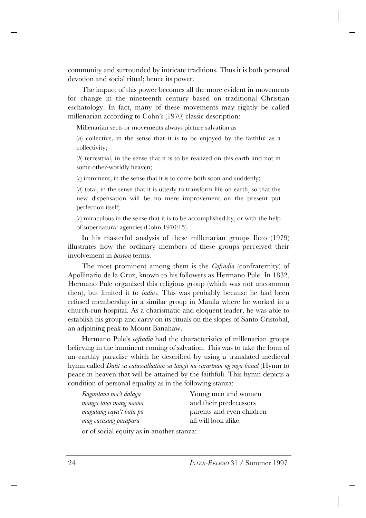community and surrounded by intricate traditions. Thus it is both personal devotion and social ritual; hence its power.

The impact of this power becomes all the more evident in movements for change in the nineteenth century based on traditional Christian eschatology. In fact, many of these movements may rightly be called millenarian according to Cohn's (1970) classic description:

Millenarian sects or movements always picture salvation as

(*a*) collective, in the sense that it is to be enjoyed by the faithful as a collectivity;

(*b*) terrestrial, in the sense that it is to be realized on this earth and not in some other-worldly heaven;

(*c*) imminent, in the sense that it is to come both soon and suddenly;

(*d*) total, in the sense that it is utterly to transform life on earth, so that the new dispensation will be no mere improvement on the present put perfection itself;

(*e*) miraculous in the sense that it is to be accomplished by, or with the help of supernatural agencies (Cohn 1970:15).

In his masterful analysis of these millenarian groups Ileto (1979) illustrates how the ordinary members of these groups perceived their involvement in *pasyon* terms.

The most prominent among them is the *Cofradia* (confraternity) of Apollinario de la Cruz, known to his followers as Hermano Pule. In 1832, Hermano Pule organized this religious group (which was not uncommon then), but limited it to *indios*. This was probably because he had been refused membership in a similar group in Manila where he worked in a church-run hospital. As a charismatic and eloquent leader, he was able to establish his group and carry on its rituals on the slopes of Santo Cristobal, an adjoining peak to Mount Banahaw.

Hermano Pule's *cofradia* had the characteristics of millenarian groups believing in the imminent coming of salvation. This was to take the form of an earthly paradise which he described by using a translated medieval hymn called *Dalit sa caluwalhatian sa langit na carartnan ng mga banal* (Hymn to peace in heaven that will be attained by the faithful). This hymn depicts a condition of personal equality as in the following stanza:

| Baguntauo ma't dalaga                                                                                                                       | Young men and women       |
|---------------------------------------------------------------------------------------------------------------------------------------------|---------------------------|
| manga tauo mang naona                                                                                                                       | and their predecessors    |
| magulang caya't bata pa                                                                                                                     | parents and even children |
| mag cacasing parapara                                                                                                                       | all will look alike.      |
| $\mathcal{C}$ and $\mathcal{C}$ and $\mathcal{C}$ and $\mathcal{C}$ and $\mathcal{C}$ and $\mathcal{C}$ and $\mathcal{C}$ and $\mathcal{C}$ |                           |

or of social equity as in another stanza: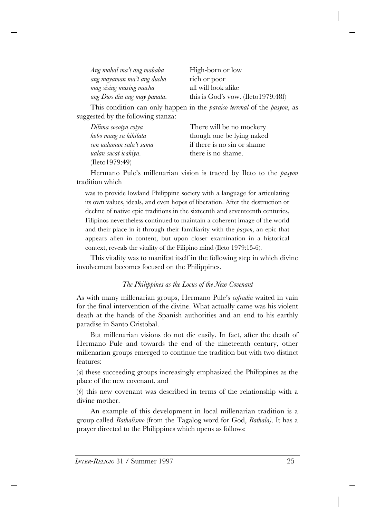| Ang mahal ma't ang mababa    | High-born or low                       |
|------------------------------|----------------------------------------|
| ang mayaman ma't ang ducha   | rich or poor                           |
| mag sising musing mucha      | all will look alike                    |
| ang Dios din ang may panata. | this is God's vow. (Ileto $1979:48f$ ) |

This condition can only happen in the *paraiso terrenal* of the *pasyon*, as suggested by the following stanza:

| Dilima cocotya cotya    | There will be no mockery    |
|-------------------------|-----------------------------|
| hobo mang sa hihilata   | though one be lying naked   |
| con ualaman sala't sama | if there is no sin or shame |
| ualan sucat icahiya.    | there is no shame.          |
| (Ileto 1979:49)         |                             |

Hermano Pule's millenarian vision is traced by Ileto to the *pasyon* tradition which

was to provide lowland Philippine society with a language for articulating its own values, ideals, and even hopes of liberation. After the destruction or decline of native epic traditions in the sixteenth and seventeenth centuries, Filipinos nevertheless continued to maintain a coherent image of the world and their place in it through their familiarity with the *pasyon*, an epic that appears alien in content, but upon closer examination in a historical context, reveals the vitality of the Filipino mind (Ileto 1979:15-6).

This vitality was to manifest itself in the following step in which divine involvement becomes focused on the Philippines.

## *The Philippines as the Locus of the New Covenant*

As with many millenarian groups, Hermano Pule's *cofradia* waited in vain for the final intervention of the divine. What actually came was his violent death at the hands of the Spanish authorities and an end to his earthly paradise in Santo Cristobal.

But millenarian visions do not die easily. In fact, after the death of Hermano Pule and towards the end of the nineteenth century, other millenarian groups emerged to continue the tradition but with two distinct features:

(*a*) these succeeding groups increasingly emphasized the Philippines as the place of the new covenant, and

(*b*) this new covenant was described in terms of the relationship with a divine mother.

An example of this development in local millenarian tradition is a group called *Bathalismo* (from the Tagalog word for God, *Bathala)*. It has a prayer directed to the Philippines which opens as follows: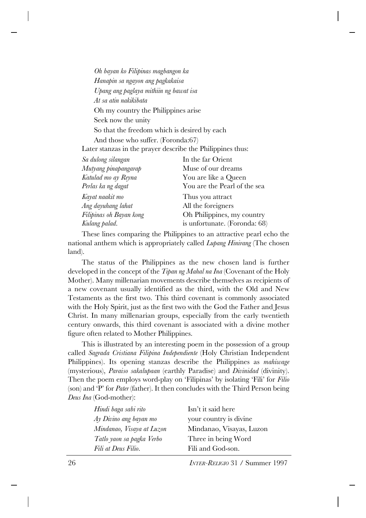*Oh bayan ko Filipinas magbangon ka Hanapin sa ngayon ang pagkakaisa Upang ang paglaya mithiin ng bawat isa At sa atin nakikibata* Oh my country the Philippines arise Seek now the unity So that the freedom which is desired by each And those who suffer. (Foronda:67) Later stanzas in the prayer describe the Philippines thus: *Sa dulong silangan* In the far Orient *Mutyang pinapangarap* Muse of our dreams *Katulad mo ay Reyna* You are like a Queen *Perlas ka ng dagat* You are the Pearl of the sea *Kayat naakit mo* Thus you attract *Ang dayuhang lahat* All the foreigners *Filipinas oh Bayan kong* Oh Philippines, my country *Kulang palad.* is unfortunate. (Foronda: 68)

These lines comparing the Philippines to an attractive pearl echo the national anthem which is appropriately called *Lupang Hinirang* (The chosen land).

The status of the Philippines as the new chosen land is further developed in the concept of the *Tipan ng Mahal na Ina* (Covenant of the Holy Mother). Many millenarian movements describe themselves as recipients of a new covenant usually identified as the third, with the Old and New Testaments as the first two. This third covenant is commonly associated with the Holy Spirit, just as the first two with the God the Father and Jesus Christ. In many millenarian groups, especially from the early twentieth century onwards, this third covenant is associated with a divine mother figure often related to Mother Philippines.

This is illustrated by an interesting poem in the possession of a group called *Sagrada Cristiana Filipina Independiente* (Holy Christian Independent Philippines). Its opening stanzas describe the Philippines as *mahiwage* (mysterious), *Paraiso sakalupaan* (earthly Paradise) and *Divinidad* (divinity). Then the poem employs word-play on 'Filipinas' by isolating 'Fili' for *Filio* (son) and 'P' for *Pater* (father). It then concludes with the Third Person being *Deus Ina* (God-mother):

| Hindi baga sabi rito      | Isn't it said here       |
|---------------------------|--------------------------|
| Ay Divino ang bayan mo    | your country is divine.  |
| Mindanao, Visaya at Luzon | Mindanao, Visayas, Luzon |
| Tatlo yaon sa pagka Verbo | Three in being Word      |
| Fili at Deus Filio.       | Fili and God-son.        |
|                           |                          |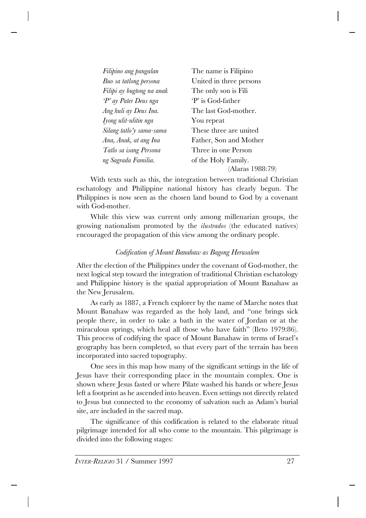| Filipino ang pangalan     | The name is Filipino    |
|---------------------------|-------------------------|
| Buo sa tatlong persona    | United in three persons |
| Filipi ay bugtong na anak | The only son is Fili    |
| 'P' ay Pater Deus nga     | P' is God-father        |
| Ang huli ay Deus Ina.     | The last God-mother.    |
| Iyong ulit-ulitin nga     | You repeat              |
| Silang tatlo'y sama-sama  | These three are united  |
| Ana, Anak, at ang Ina     | Father, Son and Mother  |
| Tatlo sa isang Persona    | Three in one Person     |
| ng Sagrada Familia.       | of the Holy Family.     |
|                           | (Alaras 1988:79)        |

With texts such as this, the integration between traditional Christian eschatology and Philippine national history has clearly begun. The Philippines is now seen as the chosen land bound to God by a covenant with God-mother.

While this view was current only among millenarian groups, the growing nationalism promoted by the *ilustrados* (the educated natives) encouraged the propagation of this view among the ordinary people.

# *Codification of Mount Banahaw as Bagong Herusalem*

After the election of the Philippines under the covenant of God-mother, the next logical step toward the integration of traditional Christian eschatology and Philippine history is the spatial appropriation of Mount Banahaw as the New Jerusalem.

As early as 1887, a French explorer by the name of Marche notes that Mount Banahaw was regarded as the holy land, and "one brings sick people there, in order to take a bath in the water of Jordan or at the miraculous springs, which heal all those who have faith" (Ileto 1979:86). This process of codifying the space of Mount Banahaw in terms of Israel's geography has been completed, so that every part of the terrain has been incorporated into sacred topography.

One sees in this map how many of the significant settings in the life of Jesus have their corresponding place in the mountain complex. One is shown where Jesus fasted or where Pilate washed his hands or where Jesus left a footprint as he ascended into heaven. Even settings not directly related to Jesus but connected to the economy of salvation such as Adam's burial site, are included in the sacred map.

The significance of this codification is related to the elaborate ritual pilgrimage intended for all who come to the mountain. This pilgrimage is divided into the following stages: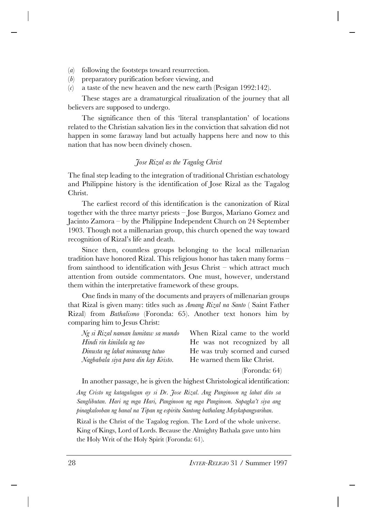- (*a*) following the footsteps toward resurrection.
- (*b*) preparatory purification before viewing, and
- (*c*) a taste of the new heaven and the new earth (Pesigan 1992:142).

These stages are a dramaturgical ritualization of the journey that all believers are supposed to undergo.

The significance then of this 'literal transplantation' of locations related to the Christian salvation lies in the conviction that salvation did not happen in some faraway land but actually happens here and now to this nation that has now been divinely chosen.

#### *Jose Rizal as the Tagalog Christ*

The final step leading to the integration of traditional Christian eschatology and Philippine history is the identification of Jose Rizal as the Tagalog Christ.

The earliest record of this identification is the canonization of Rizal together with the three martyr priests – Jose Burgos, Mariano Gomez and Jacinto Zamora – by the Philippine Independent Church on 24 September 1903. Though not a millenarian group, this church opened the way toward recognition of Rizal's life and death.

Since then, countless groups belonging to the local millenarian tradition have honored Rizal. This religious honor has taken many forms – from sainthood to identification with Jesus Christ – which attract much attention from outside commentators. One must, however, understand them within the interpretative framework of these groups.

One finds in many of the documents and prayers of millenarian groups that Rizal is given many: titles such as *Amang Rizal na Santo* ( Saint Father Rizal) from *Bathalismo* (Foronda: 65). Another text honors him by comparing him to Jesus Christ:

| Ng si Rizal naman lumitaw sa mundo  | When Rizal came to the world    |
|-------------------------------------|---------------------------------|
| Hindi rin kinilala ng tao           | He was not recognized by all    |
| Dinusta ng lahat minurang tutuo     | He was truly scorned and cursed |
| Nagbabala siya para din kay Kristo. | He warned them like Christ.     |
|                                     |                                 |

(Foronda: 64)

In another passage, he is given the highest Christological identification:

*Ang Cristo ng katagalugan ay si Dr. Jose Rizal. Ang Panginoon ng lahat dito sa Sanglibutan. Hari ng mga Hari, Panginoon ng mga Panginoon. Sapagka't siya ang pinagkalooban ng banal na Tipan ng espiritu Santong bathalang Maykapangyarihan.*

Rizal is the Christ of the Tagalog region. The Lord of the whole universe. King of Kings, Lord of Lords. Because the Almighty Bathala gave unto him the Holy Writ of the Holy Spirit (Foronda: 61).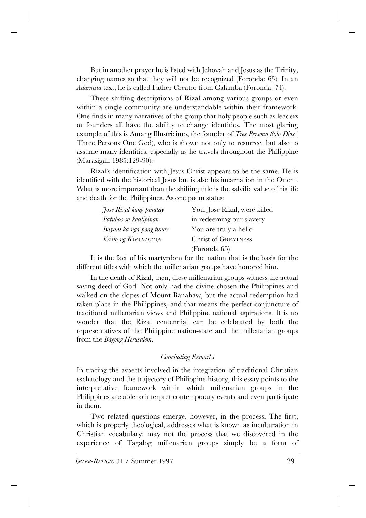But in another prayer he is listed with Jehovah and Jesus as the Trinity, changing names so that they will not be recognized (Foronda: 65). In an *Adarnista* text, he is called Father Creator from Calamba (Foronda: 74).

These shifting descriptions of Rizal among various groups or even within a single community are understandable within their framework. One finds in many narratives of the group that holy people such as leaders or founders all have the ability to change identities. The most glaring example of this is Amang Illustricimo, the founder of *Tres Persona Solo Dios* ( Three Persons One God), who is shown not only to resurrect but also to assume many identities, especially as he travels throughout the Philippine (Marasigan 1985:129-90).

Rizal's identification with Jesus Christ appears to be the same. He is identified with the historical Jesus but is also his incarnation in the Orient. What is more important than the shifting title is the salvific value of his life and death for the Philippines. As one poem states:

| Jose Rizal kang pinatay  | You, Jose Rizal, were killed |
|--------------------------|------------------------------|
| Patubos sa kaalipinan    | in redeeming our slavery     |
| Bayani ka nga pong tunay | You are truly a hello        |
| Kristo ng KABANTUGAN.    | Christ of GREATNESS.         |
|                          | (Foronda 65)                 |

It is the fact of his martyrdom for the nation that is the basis for the different titles with which the millenarian groups have honored him.

In the death of Rizal, then, these millenarian groups witness the actual saving deed of God. Not only had the divine chosen the Philippines and walked on the slopes of Mount Banahaw, but the actual redemption had taken place in the Philippines, and that means the perfect conjuncture of traditional millenarian views and Philippine national aspirations. It is no wonder that the Rizal centennial can be celebrated by both the representatives of the Philippine nation-state and the millenarian groups from the *Bagong Herusalem*.

## *Concluding Remarks*

In tracing the aspects involved in the integration of traditional Christian eschatology and the trajectory of Philippine history, this essay points to the interpretative framework within which millenarian groups in the Philippines are able to interpret contemporary events and even participate in them.

Two related questions emerge, however, in the process. The first, which is properly theological, addresses what is known as inculturation in Christian vocabulary: may not the process that we discovered in the experience of Tagalog millenarian groups simply be a form of